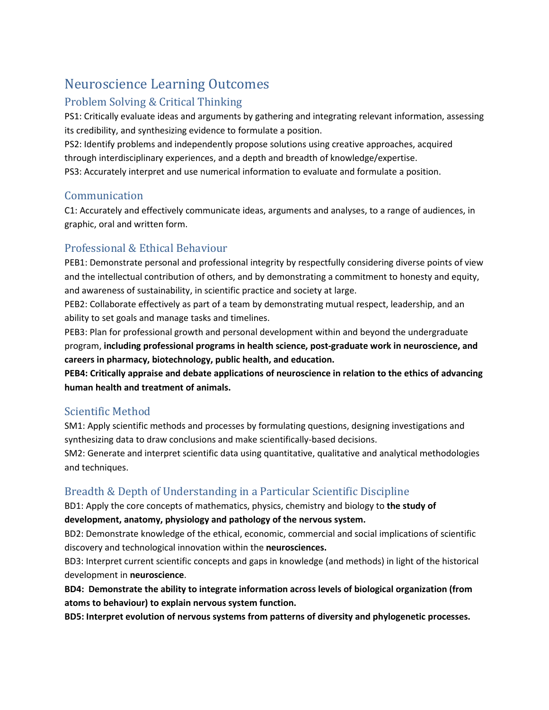# Neuroscience Learning Outcomes

# Problem Solving & Critical Thinking

PS1: Critically evaluate ideas and arguments by gathering and integrating relevant information, assessing its credibility, and synthesizing evidence to formulate a position.

PS2: Identify problems and independently propose solutions using creative approaches, acquired through interdisciplinary experiences, and a depth and breadth of knowledge/expertise. PS3: Accurately interpret and use numerical information to evaluate and formulate a position.

#### Communication

C1: Accurately and effectively communicate ideas, arguments and analyses, to a range of audiences, in graphic, oral and written form.

# Professional & Ethical Behaviour

PEB1: Demonstrate personal and professional integrity by respectfully considering diverse points of view and the intellectual contribution of others, and by demonstrating a commitment to honesty and equity, and awareness of sustainability, in scientific practice and society at large.

PEB2: Collaborate effectively as part of a team by demonstrating mutual respect, leadership, and an ability to set goals and manage tasks and timelines.

PEB3: Plan for professional growth and personal development within and beyond the undergraduate program, **including professional programs in health science, post-graduate work in neuroscience, and careers in pharmacy, biotechnology, public health, and education.**

**PEB4: Critically appraise and debate applications of neuroscience in relation to the ethics of advancing human health and treatment of animals.**

### Scientific Method

SM1: Apply scientific methods and processes by formulating questions, designing investigations and synthesizing data to draw conclusions and make scientifically-based decisions.

SM2: Generate and interpret scientific data using quantitative, qualitative and analytical methodologies and techniques.

# Breadth & Depth of Understanding in a Particular Scientific Discipline

BD1: Apply the core concepts of mathematics, physics, chemistry and biology to **the study of** 

#### **development, anatomy, physiology and pathology of the nervous system.**

BD2: Demonstrate knowledge of the ethical, economic, commercial and social implications of scientific discovery and technological innovation within the **neurosciences.**

BD3: Interpret current scientific concepts and gaps in knowledge (and methods) in light of the historical development in **neuroscience**.

**BD4: Demonstrate the ability to integrate information across levels of biological organization (from atoms to behaviour) to explain nervous system function.**

**BD5: Interpret evolution of nervous systems from patterns of diversity and phylogenetic processes.**